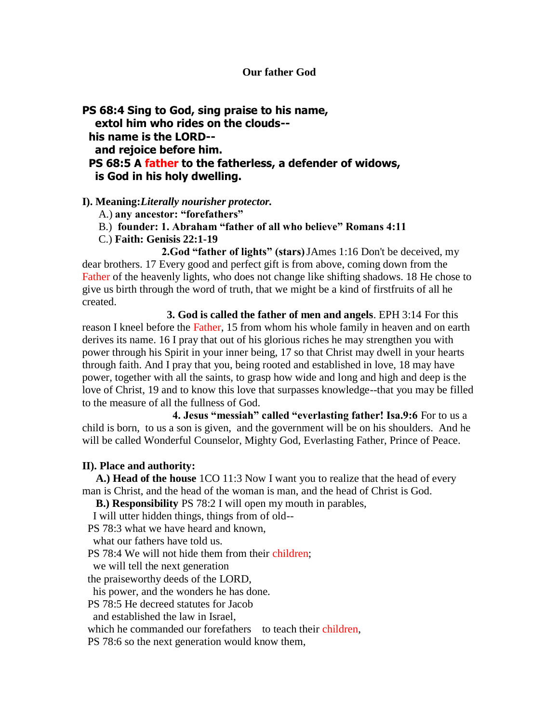## **Our father God**

**PS 68:4 Sing to God, sing praise to his name, extol him who rides on the clouds- his name is the LORD- and rejoice before him. PS 68:5 A father to the fatherless, a defender of widows, is God in his holy dwelling.**

## **I). Meaning:***Literally nourisher protector.*

- A.) **any ancestor: "forefathers"**
- B.) **founder: 1. Abraham "father of all who believe" Romans 4:11**
- C.) **Faith: Genisis 22:1-19**

**2.God "father of lights" (stars)**JAmes 1:16 Don't be deceived, my dear brothers. 17 Every good and perfect gift is from above, coming down from the Father of the heavenly lights, who does not change like shifting shadows. 18 He chose to give us birth through the word of truth, that we might be a kind of firstfruits of all he created.

 **3. God is called the father of men and angels**. EPH 3:14 For this reason I kneel before the Father, 15 from whom his whole family in heaven and on earth derives its name. 16 I pray that out of his glorious riches he may strengthen you with power through his Spirit in your inner being, 17 so that Christ may dwell in your hearts through faith. And I pray that you, being rooted and established in love, 18 may have power, together with all the saints, to grasp how wide and long and high and deep is the love of Christ, 19 and to know this love that surpasses knowledge--that you may be filled to the measure of all the fullness of God.

 **4. Jesus "messiah" called "everlasting father! Isa.9:6** For to us a child is born, to us a son is given, and the government will be on his shoulders. And he will be called Wonderful Counselor, Mighty God, Everlasting Father, Prince of Peace.

## **II). Place and authority:**

 **A.) Head of the house** 1CO 11:3 Now I want you to realize that the head of every man is Christ, and the head of the woman is man, and the head of Christ is God.

 **B.) Responsibility** PS 78:2 I will open my mouth in parables,

I will utter hidden things, things from of old--

PS 78:3 what we have heard and known,

what our fathers have told us.

PS 78:4 We will not hide them from their children;

we will tell the next generation

the praiseworthy deeds of the LORD,

his power, and the wonders he has done.

PS 78:5 He decreed statutes for Jacob

and established the law in Israel,

which he commanded our forefathers to teach their children,

PS 78:6 so the next generation would know them,